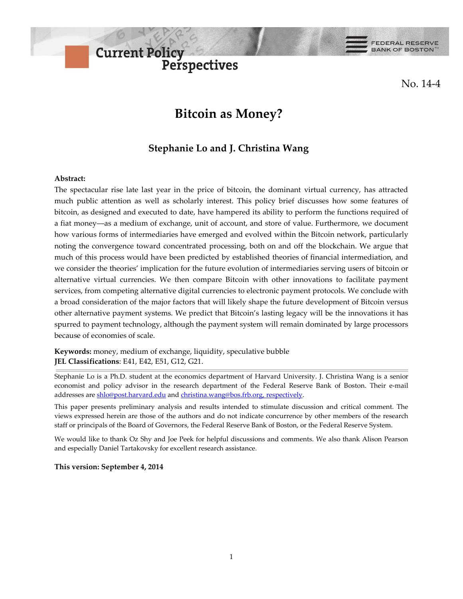**FEDERAL RESERVE** 

**BANK OF BOSTON** 

No. 14-4

# **Bitcoin as Money?**

Perspectives

### **Stephanie Lo and J. Christina Wang**

#### **Abstract:**

The spectacular rise late last year in the price of bitcoin, the dominant virtual currency, has attracted much public attention as well as scholarly interest. This policy brief discusses how some features of bitcoin, as designed and executed to date, have hampered its ability to perform the functions required of a fiat money––as a medium of exchange, unit of account, and store of value. Furthermore, we document how various forms of intermediaries have emerged and evolved within the Bitcoin network, particularly noting the convergence toward concentrated processing, both on and off the blockchain. We argue that much of this process would have been predicted by established theories of financial intermediation, and we consider the theories' implication for the future evolution of intermediaries serving users of bitcoin or alternative virtual currencies. We then compare Bitcoin with other innovations to facilitate payment services, from competing alternative digital currencies to electronic payment protocols. We conclude with a broad consideration of the major factors that will likely shape the future development of Bitcoin versus other alternative payment systems. We predict that Bitcoin's lasting legacy will be the innovations it has spurred to payment technology, although the payment system will remain dominated by large processors because of economies of scale.

**Keywords:** money, medium of exchange, liquidity, speculative bubble **JEL Classifications**: E41, E42, E51, G12, G21.

**Current Policy** 

Stephanie Lo is a Ph.D. student at the economics department of Harvard University. J. Christina Wang is a senior economist and policy advisor in the research department of the Federal Reserve Bank of Boston. Their e-mail addresses are [shlo@post.harvard.edu](mailto:shlo@post.harvard.edu) and [christina.wang@bos.frb.org,](mailto:christina.wang@bos.frb.org) respectively.

This paper presents preliminary analysis and results intended to stimulate discussion and critical comment. The views expressed herein are those of the authors and do not indicate concurrence by other members of the research staff or principals of the Board of Governors, the Federal Reserve Bank of Boston, or the Federal Reserve System.

We would like to thank Oz Shy and Joe Peek for helpful discussions and comments. We also thank Alison Pearson and especially Daniel Tartakovsky for excellent research assistance.

**This version: September 4, 2014**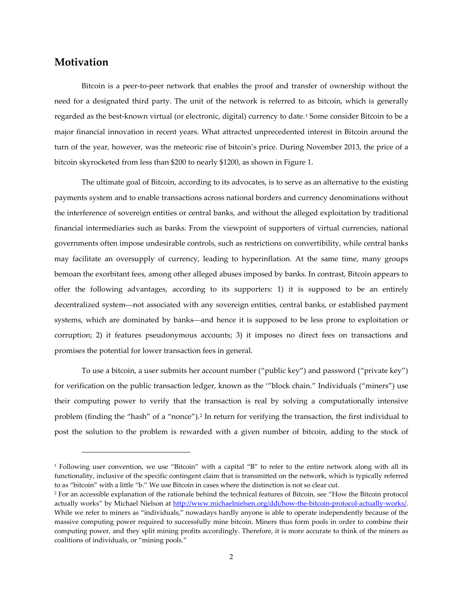### **Motivation**

 $\overline{a}$ 

Bitcoin is a peer-to-peer network that enables the proof and transfer of ownership without the need for a designated third party. The unit of the network is referred to as bitcoin, which is generally regarded as the best-known virtual (or electronic, digital) currency to date.[1](#page-1-0) Some consider Bitcoin to be a major financial innovation in recent years. What attracted unprecedented interest in Bitcoin around the turn of the year, however, was the meteoric rise of bitcoin's price. During November 2013, the price of a bitcoin skyrocketed from less than \$200 to nearly \$1200, as shown in Figure 1.

The ultimate goal of Bitcoin, according to its advocates, is to serve as an alternative to the existing payments system and to enable transactions across national borders and currency denominations without the interference of sovereign entities or central banks, and without the alleged exploitation by traditional financial intermediaries such as banks. From the viewpoint of supporters of virtual currencies, national governments often impose undesirable controls, such as restrictions on convertibility, while central banks may facilitate an oversupply of currency, leading to hyperinflation. At the same time, many groups bemoan the exorbitant fees, among other alleged abuses imposed by banks. In contrast, Bitcoin appears to offer the following advantages, according to its supporters: 1) it is supposed to be an entirely decentralized system—not associated with any sovereign entities, central banks, or established payment systems, which are dominated by banks—and hence it is supposed to be less prone to exploitation or corruption; 2) it features pseudonymous accounts; 3) it imposes no direct fees on transactions and promises the potential for lower transaction fees in general.

To use a bitcoin, a user submits her account number ("public key") and password ("private key") for verification on the public transaction ledger, known as the '"block chain." Individuals ("miners") use their computing power to verify that the transaction is real by solving a computationally intensive problem (finding the "hash" of a "nonce").<sup>2</sup> In return for verifying the transaction, the first individual to post the solution to the problem is rewarded with a given number of bitcoin, adding to the stock of

<span id="page-1-0"></span><sup>&</sup>lt;sup>1</sup> Following user convention, we use "Bitcoin" with a capital "B" to refer to the entire network along with all its functionality, inclusive of the specific contingent claim that is transmitted on the network, which is typically referred to as "bitcoin" with a little "b." We use Bitcoin in cases where the distinction is not so clear cut.

<span id="page-1-1"></span><sup>&</sup>lt;sup>2</sup> For an accessible explanation of the rationale behind the technical features of Bitcoin, see "How the Bitcoin protocol actually works" by Michael Nielson at [http://www.michaelnielsen.org/ddi/how-the-bitcoin-protocol-actually-works/.](http://www.michaelnielsen.org/ddi/how-the-bitcoin-protocol-actually-works/)  While we refer to miners as "individuals," nowadays hardly anyone is able to operate independently because of the massive computing power required to successfully mine bitcoin. Miners thus form pools in order to combine their computing power, and they split mining profits accordingly. Therefore, it is more accurate to think of the miners as coalitions of individuals, or "mining pools."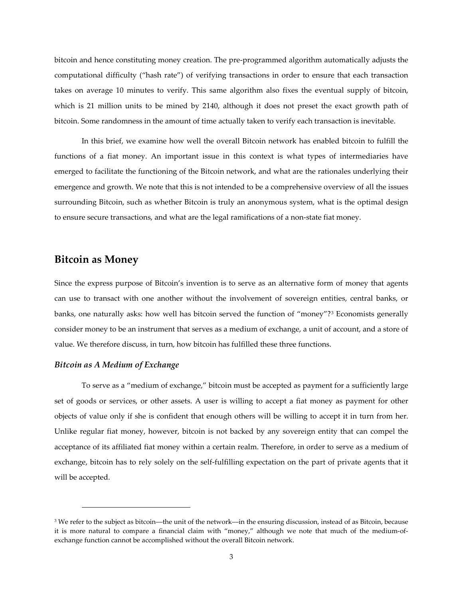bitcoin and hence constituting money creation. The pre-programmed algorithm automatically adjusts the computational difficulty ("hash rate") of verifying transactions in order to ensure that each transaction takes on average 10 minutes to verify. This same algorithm also fixes the eventual supply of bitcoin, which is 21 million units to be mined by 2140, although it does not preset the exact growth path of bitcoin. Some randomness in the amount of time actually taken to verify each transaction is inevitable.

In this brief, we examine how well the overall Bitcoin network has enabled bitcoin to fulfill the functions of a fiat money. An important issue in this context is what types of intermediaries have emerged to facilitate the functioning of the Bitcoin network, and what are the rationales underlying their emergence and growth. We note that this is not intended to be a comprehensive overview of all the issues surrounding Bitcoin, such as whether Bitcoin is truly an anonymous system, what is the optimal design to ensure secure transactions, and what are the legal ramifications of a non-state fiat money.

### **Bitcoin as Money**

Since the express purpose of Bitcoin's invention is to serve as an alternative form of money that agents can use to transact with one another without the involvement of sovereign entities, central banks, or banks, one naturally asks: how well has bitcoin served the function of "money"?[3](#page-2-0) Economists generally consider money to be an instrument that serves as a medium of exchange, a unit of account, and a store of value. We therefore discuss, in turn, how bitcoin has fulfilled these three functions.

#### *Bitcoin as A Medium of Exchange*

 $\overline{a}$ 

To serve as a "medium of exchange," bitcoin must be accepted as payment for a sufficiently large set of goods or services, or other assets. A user is willing to accept a fiat money as payment for other objects of value only if she is confident that enough others will be willing to accept it in turn from her. Unlike regular fiat money, however, bitcoin is not backed by any sovereign entity that can compel the acceptance of its affiliated fiat money within a certain realm. Therefore, in order to serve as a medium of exchange, bitcoin has to rely solely on the self-fulfilling expectation on the part of private agents that it will be accepted.

<span id="page-2-0"></span><sup>&</sup>lt;sup>3</sup> We refer to the subject as bitcoin—the unit of the network—in the ensuring discussion, instead of as Bitcoin, because it is more natural to compare a financial claim with "money," although we note that much of the medium-ofexchange function cannot be accomplished without the overall Bitcoin network.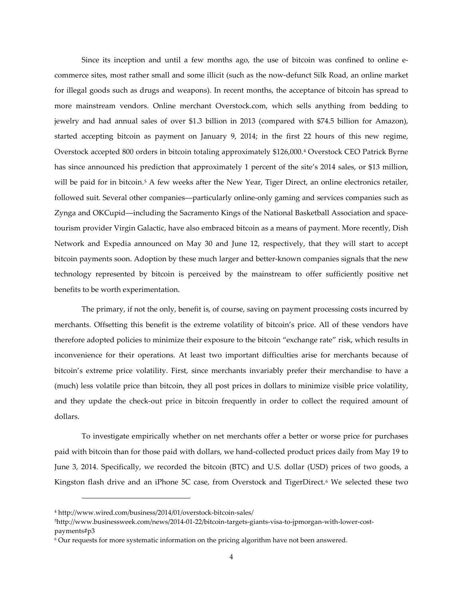Since its inception and until a few months ago, the use of bitcoin was confined to online ecommerce sites, most rather small and some illicit (such as the now-defunct Silk Road, an online market for illegal goods such as drugs and weapons). In recent months, the acceptance of bitcoin has spread to more mainstream vendors. Online merchant Overstock.com, which sells anything from bedding to jewelry and had annual sales of over \$1.3 billion in 2013 (compared with \$74.5 billion for Amazon), started accepting bitcoin as payment on January 9, 2014; in the first 22 hours of this new regime, Overstock accepted 800 orders in bitcoin totaling approximately \$126,000.[4](#page-3-0) Overstock CEO Patrick Byrne has since announced his prediction that approximately 1 percent of the site's 2014 sales, or \$13 million, will be paid for in bitcoin.<sup>[5](#page-3-1)</sup> A few weeks after the New Year, Tiger Direct, an online electronics retailer, followed suit. Several other companies––particularly online-only gaming and services companies such as Zynga and OKCupid––including the Sacramento Kings of the National Basketball Association and spacetourism provider Virgin Galactic, have also embraced bitcoin as a means of payment. More recently, Dish Network and Expedia announced on May 30 and June 12, respectively, that they will start to accept bitcoin payments soon. Adoption by these much larger and better-known companies signals that the new technology represented by bitcoin is perceived by the mainstream to offer sufficiently positive net benefits to be worth experimentation.

The primary, if not the only, benefit is, of course, saving on payment processing costs incurred by merchants. Offsetting this benefit is the extreme volatility of bitcoin's price. All of these vendors have therefore adopted policies to minimize their exposure to the bitcoin "exchange rate" risk, which results in inconvenience for their operations. At least two important difficulties arise for merchants because of bitcoin's extreme price volatility. First, since merchants invariably prefer their merchandise to have a (much) less volatile price than bitcoin, they all post prices in dollars to minimize visible price volatility, and they update the check-out price in bitcoin frequently in order to collect the required amount of dollars.

To investigate empirically whether on net merchants offer a better or worse price for purchases paid with bitcoin than for those paid with dollars, we hand-collected product prices daily from May 19 to June 3, 2014. Specifically, we recorded the bitcoin (BTC) and U.S. dollar (USD) prices of two goods, a Kingston flash drive and an iPhone 5C case, from Overstock and TigerDirect.<sup>[6](#page-3-2)</sup> We selected these two

<span id="page-3-0"></span><sup>4</sup> http://www.wired.com/business/2014/01/overstock-bitcoin-sales/

<span id="page-3-1"></span><sup>5</sup>http://www.businessweek.com/news/2014-01-22/bitcoin-targets-giants-visa-to-jpmorgan-with-lower-costpayments#p3

<span id="page-3-2"></span><sup>6</sup> Our requests for more systematic information on the pricing algorithm have not been answered.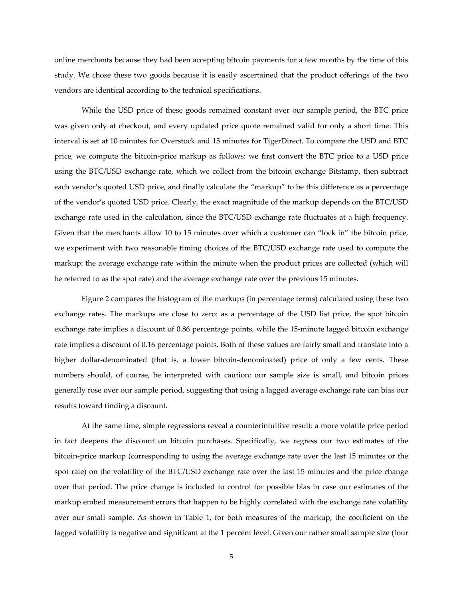online merchants because they had been accepting bitcoin payments for a few months by the time of this study. We chose these two goods because it is easily ascertained that the product offerings of the two vendors are identical according to the technical specifications.

While the USD price of these goods remained constant over our sample period, the BTC price was given only at checkout, and every updated price quote remained valid for only a short time. This interval is set at 10 minutes for Overstock and 15 minutes for TigerDirect. To compare the USD and BTC price, we compute the bitcoin-price markup as follows: we first convert the BTC price to a USD price using the BTC/USD exchange rate, which we collect from the bitcoin exchange Bitstamp, then subtract each vendor's quoted USD price, and finally calculate the "markup" to be this difference as a percentage of the vendor's quoted USD price. Clearly, the exact magnitude of the markup depends on the BTC/USD exchange rate used in the calculation, since the BTC/USD exchange rate fluctuates at a high frequency. Given that the merchants allow 10 to 15 minutes over which a customer can "lock in" the bitcoin price, we experiment with two reasonable timing choices of the BTC/USD exchange rate used to compute the markup: the average exchange rate within the minute when the product prices are collected (which will be referred to as the spot rate) and the average exchange rate over the previous 15 minutes.

Figure 2 compares the histogram of the markups (in percentage terms) calculated using these two exchange rates. The markups are close to zero: as a percentage of the USD list price, the spot bitcoin exchange rate implies a discount of 0.86 percentage points, while the 15-minute lagged bitcoin exchange rate implies a discount of 0.16 percentage points. Both of these values are fairly small and translate into a higher dollar-denominated (that is, a lower bitcoin-denominated) price of only a few cents. These numbers should, of course, be interpreted with caution: our sample size is small, and bitcoin prices generally rose over our sample period, suggesting that using a lagged average exchange rate can bias our results toward finding a discount.

At the same time, simple regressions reveal a counterintuitive result: a more volatile price period in fact deepens the discount on bitcoin purchases. Specifically, we regress our two estimates of the bitcoin-price markup (corresponding to using the average exchange rate over the last 15 minutes or the spot rate) on the volatility of the BTC/USD exchange rate over the last 15 minutes and the price change over that period. The price change is included to control for possible bias in case our estimates of the markup embed measurement errors that happen to be highly correlated with the exchange rate volatility over our small sample. As shown in Table 1, for both measures of the markup, the coefficient on the lagged volatility is negative and significant at the 1 percent level. Given our rather small sample size (four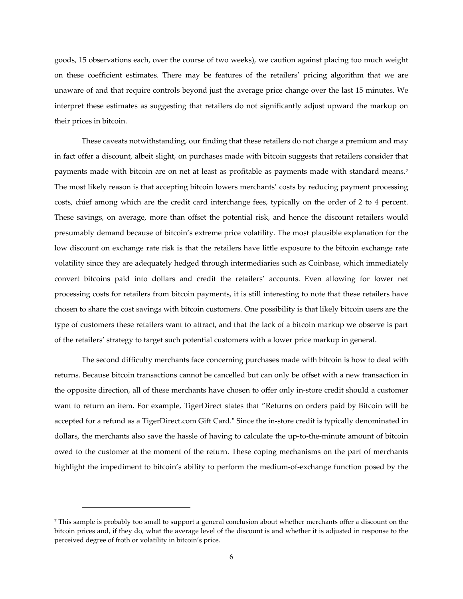goods, 15 observations each, over the course of two weeks), we caution against placing too much weight on these coefficient estimates. There may be features of the retailers' pricing algorithm that we are unaware of and that require controls beyond just the average price change over the last 15 minutes. We interpret these estimates as suggesting that retailers do not significantly adjust upward the markup on their prices in bitcoin.

These caveats notwithstanding, our finding that these retailers do not charge a premium and may in fact offer a discount, albeit slight, on purchases made with bitcoin suggests that retailers consider that payments made with bitcoin are on net at least as profitable as payments made with standard means.[7](#page-5-0) The most likely reason is that accepting bitcoin lowers merchants' costs by reducing payment processing costs, chief among which are the credit card interchange fees, typically on the order of 2 to 4 percent. These savings, on average, more than offset the potential risk, and hence the discount retailers would presumably demand because of bitcoin's extreme price volatility. The most plausible explanation for the low discount on exchange rate risk is that the retailers have little exposure to the bitcoin exchange rate volatility since they are adequately hedged through intermediaries such as Coinbase, which immediately convert bitcoins paid into dollars and credit the retailers' accounts. Even allowing for lower net processing costs for retailers from bitcoin payments, it is still interesting to note that these retailers have chosen to share the cost savings with bitcoin customers. One possibility is that likely bitcoin users are the type of customers these retailers want to attract, and that the lack of a bitcoin markup we observe is part of the retailers' strategy to target such potential customers with a lower price markup in general.

The second difficulty merchants face concerning purchases made with bitcoin is how to deal with returns. Because bitcoin transactions cannot be cancelled but can only be offset with a new transaction in the opposite direction, all of these merchants have chosen to offer only in-store credit should a customer want to return an item. For example, TigerDirect states that "Returns on orders paid by Bitcoin will be accepted for a refund as a TigerDirect.com Gift Card." Since the in-store credit is typically denominated in dollars, the merchants also save the hassle of having to calculate the up-to-the-minute amount of bitcoin owed to the customer at the moment of the return. These coping mechanisms on the part of merchants highlight the impediment to bitcoin's ability to perform the medium-of-exchange function posed by the

<span id="page-5-0"></span><sup>7</sup> This sample is probably too small to support a general conclusion about whether merchants offer a discount on the bitcoin prices and, if they do, what the average level of the discount is and whether it is adjusted in response to the perceived degree of froth or volatility in bitcoin's price.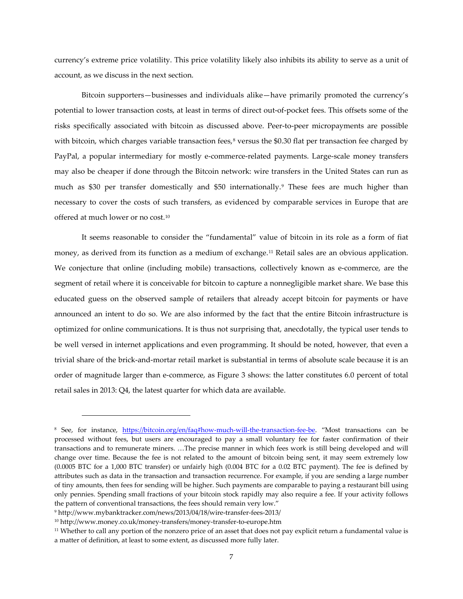currency's extreme price volatility. This price volatility likely also inhibits its ability to serve as a unit of account, as we discuss in the next section.

Bitcoin supporters—businesses and individuals alike—have primarily promoted the currency's potential to lower transaction costs, at least in terms of direct out-of-pocket fees. This offsets some of the risks specifically associated with bitcoin as discussed above. Peer-to-peer micropayments are possible with bitcoin, which charges variable transaction fees, $8$  versus the \$0.30 flat per transaction fee charged by PayPal, a popular intermediary for mostly e-commerce-related payments. Large-scale money transfers may also be cheaper if done through the Bitcoin network: wire transfers in the United States can run as much as \$30 per transfer domestically and \$50 internationally.<sup>[9](#page-6-1)</sup> These fees are much higher than necessary to cover the costs of such transfers, as evidenced by comparable services in Europe that are offered at much lower or no cost.[10](#page-6-2)

It seems reasonable to consider the "fundamental" value of bitcoin in its role as a form of fiat money, as derived from its function as a medium of exchange.<sup>[11](#page-6-3)</sup> Retail sales are an obvious application. We conjecture that online (including mobile) transactions, collectively known as e-commerce, are the segment of retail where it is conceivable for bitcoin to capture a nonnegligible market share. We base this educated guess on the observed sample of retailers that already accept bitcoin for payments or have announced an intent to do so. We are also informed by the fact that the entire Bitcoin infrastructure is optimized for online communications. It is thus not surprising that, anecdotally, the typical user tends to be well versed in internet applications and even programming. It should be noted, however, that even a trivial share of the brick-and-mortar retail market is substantial in terms of absolute scale because it is an order of magnitude larger than e-commerce, as Figure 3 shows: the latter constitutes 6.0 percent of total retail sales in 2013: Q4, the latest quarter for which data are available.

<span id="page-6-0"></span><sup>8</sup> See, for instance, [https://bitcoin.org/en/faq#how-much-will-the-transaction-fee-be.](https://bitcoin.org/en/faq%23how-much-will-the-transaction-fee-be) "Most transactions can be processed without fees, but users are encouraged to pay a small voluntary fee for faster confirmation of their transactions and to remunerate miners. …The precise manner in which fees work is still being developed and will change over time. Because the fee is not related to the amount of bitcoin being sent, it may seem extremely low (0.0005 BTC for a 1,000 BTC transfer) or unfairly high (0.004 BTC for a 0.02 BTC payment). The fee is defined by attributes such as data in the transaction and transaction recurrence. For example, if you are sending a large number of tiny amounts, then fees for sending will be higher. Such payments are comparable to paying a restaurant bill using only pennies. Spending small fractions of your bitcoin stock rapidly may also require a fee. If your activity follows the pattern of conventional transactions, the fees should remain very low."

<span id="page-6-1"></span><sup>9</sup> http://www.mybanktracker.com/news/2013/04/18/wire-transfer-fees-2013/

<span id="page-6-2"></span><sup>10</sup> http://www.money.co.uk/money-transfers/money-transfer-to-europe.htm

<span id="page-6-3"></span> $11$  Whether to call any portion of the nonzero price of an asset that does not pay explicit return a fundamental value is a matter of definition, at least to some extent, as discussed more fully later.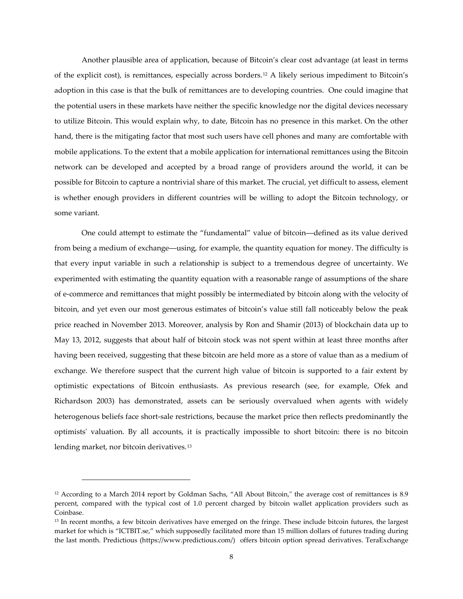Another plausible area of application, because of Bitcoin's clear cost advantage (at least in terms of the explicit cost), is remittances, especially across borders.[12](#page-7-0) A likely serious impediment to Bitcoin's adoption in this case is that the bulk of remittances are to developing countries. One could imagine that the potential users in these markets have neither the specific knowledge nor the digital devices necessary to utilize Bitcoin. This would explain why, to date, Bitcoin has no presence in this market. On the other hand, there is the mitigating factor that most such users have cell phones and many are comfortable with mobile applications. To the extent that a mobile application for international remittances using the Bitcoin network can be developed and accepted by a broad range of providers around the world, it can be possible for Bitcoin to capture a nontrivial share of this market. The crucial, yet difficult to assess, element is whether enough providers in different countries will be willing to adopt the Bitcoin technology, or some variant.

One could attempt to estimate the "fundamental" value of bitcoin––defined as its value derived from being a medium of exchange––using, for example, the quantity equation for money. The difficulty is that every input variable in such a relationship is subject to a tremendous degree of uncertainty. We experimented with estimating the quantity equation with a reasonable range of assumptions of the share of e-commerce and remittances that might possibly be intermediated by bitcoin along with the velocity of bitcoin, and yet even our most generous estimates of bitcoin's value still fall noticeably below the peak price reached in November 2013. Moreover, analysis by Ron and Shamir (2013) of blockchain data up to May 13, 2012, suggests that about half of bitcoin stock was not spent within at least three months after having been received, suggesting that these bitcoin are held more as a store of value than as a medium of exchange. We therefore suspect that the current high value of bitcoin is supported to a fair extent by optimistic expectations of Bitcoin enthusiasts. As previous research (see, for example, Ofek and Richardson 2003) has demonstrated, assets can be seriously overvalued when agents with widely heterogenous beliefs face short-sale restrictions, because the market price then reflects predominantly the optimists' valuation. By all accounts, it is practically impossible to short bitcoin: there is no bitcoin lending market, nor bitcoin derivatives.[13](#page-7-1)

<span id="page-7-0"></span><sup>12</sup> According to a March 2014 report by Goldman Sachs, "All About Bitcoin," the average cost of remittances is 8.9 percent, compared with the typical cost of 1.0 percent charged by bitcoin wallet application providers such as Coinbase.

<span id="page-7-1"></span><sup>&</sup>lt;sup>13</sup> In recent months, a few bitcoin derivatives have emerged on the fringe. These include bitcoin futures, the largest market for which is "ICTBIT.se," which supposedly facilitated more than 15 million dollars of futures trading during the last month. Predictious (https://www.predictious.com/) offers bitcoin option spread derivatives. TeraExchange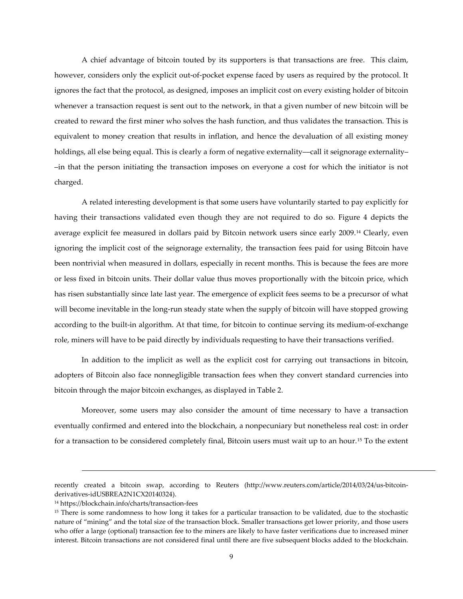A chief advantage of bitcoin touted by its supporters is that transactions are free. This claim, however, considers only the explicit out-of-pocket expense faced by users as required by the protocol. It ignores the fact that the protocol, as designed, imposes an implicit cost on every existing holder of bitcoin whenever a transaction request is sent out to the network, in that a given number of new bitcoin will be created to reward the first miner who solves the hash function, and thus validates the transaction. This is equivalent to money creation that results in inflation, and hence the devaluation of all existing money holdings, all else being equal. This is clearly a form of negative externality—call it seignorage externality– –in that the person initiating the transaction imposes on everyone a cost for which the initiator is not charged.

A related interesting development is that some users have voluntarily started to pay explicitly for having their transactions validated even though they are not required to do so. Figure 4 depicts the average explicit fee measured in dollars paid by Bitcoin network users since early 2009.[14](#page-8-0) Clearly, even ignoring the implicit cost of the seignorage externality, the transaction fees paid for using Bitcoin have been nontrivial when measured in dollars, especially in recent months. This is because the fees are more or less fixed in bitcoin units. Their dollar value thus moves proportionally with the bitcoin price, which has risen substantially since late last year. The emergence of explicit fees seems to be a precursor of what will become inevitable in the long-run steady state when the supply of bitcoin will have stopped growing according to the built-in algorithm. At that time, for bitcoin to continue serving its medium-of-exchange role, miners will have to be paid directly by individuals requesting to have their transactions verified.

In addition to the implicit as well as the explicit cost for carrying out transactions in bitcoin, adopters of Bitcoin also face nonnegligible transaction fees when they convert standard currencies into bitcoin through the major bitcoin exchanges, as displayed in Table 2.

Moreover, some users may also consider the amount of time necessary to have a transaction eventually confirmed and entered into the blockchain, a nonpecuniary but nonetheless real cost: in order for a transaction to be considered completely final, Bitcoin users must wait up to an hour.[15](#page-8-1) To the extent

recently created a bitcoin swap, according to Reuters (http://www.reuters.com/article/2014/03/24/us-bitcoinderivatives-idUSBREA2N1CX20140324).

<span id="page-8-0"></span><sup>14</sup> https://blockchain.info/charts/transaction-fees

<span id="page-8-1"></span><sup>&</sup>lt;sup>15</sup> There is some randomness to how long it takes for a particular transaction to be validated, due to the stochastic nature of "mining" and the total size of the transaction block. Smaller transactions get lower priority, and those users who offer a large (optional) transaction fee to the miners are likely to have faster verifications due to increased miner interest. Bitcoin transactions are not considered final until there are five subsequent blocks added to the blockchain.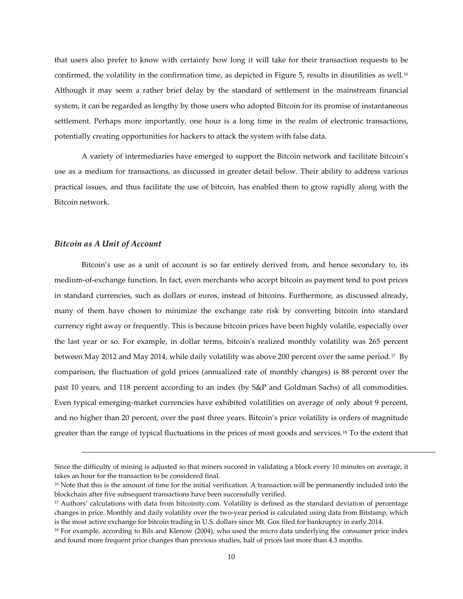that users also prefer to know with certainty how long it will take for their transaction requests to be confirmed, the volatility in the confirmation time, as depicted in Figure 5, results in disutilities as well.[16](#page-9-0) Although it may seem a rather brief delay by the standard of settlement in the mainstream financial system, it can be regarded as lengthy by those users who adopted Bitcoin for its promise of instantaneous settlement. Perhaps more importantly, one hour is a long time in the realm of electronic transactions, potentially creating opportunities for hackers to attack the system with false data.

A variety of intermediaries have emerged to support the Bitcoin network and facilitate bitcoin's use as a medium for transactions, as discussed in greater detail below. Their ability to address various practical issues, and thus facilitate the use of bitcoin, has enabled them to grow rapidly along with the Bitcoin network.

#### *Bitcoin as A Unit of Account*

 $\overline{a}$ 

Bitcoin's use as a unit of account is so far entirely derived from, and hence secondary to, its medium-of-exchange function. In fact, even merchants who accept bitcoin as payment tend to post prices in standard currencies, such as dollars or euros, instead of bitcoins. Furthermore, as discussed already, many of them have chosen to minimize the exchange rate risk by converting bitcoin into standard currency right away or frequently. This is because bitcoin prices have been highly volatile, especially over the last year or so. For example, in dollar terms, bitcoin's realized monthly volatility was 265 percent between May 2012 and May 2014, while daily volatility was above 200 percent over the same period.[17](#page-9-1) By comparison, the fluctuation of gold prices (annualized rate of monthly changes) is 88 percent over the past 10 years, and 118 percent according to an index (by S&P and Goldman Sachs) of all commodities. Even typical emerging-market currencies have exhibited volatilities on average of only about 9 percent, and no higher than 20 percent, over the past three years. Bitcoin's price volatility is orders of magnitude greater than the range of typical fluctuations in the prices of most goods and services.[18](#page-9-2) To the extent that

Since the difficulty of mining is adjusted so that miners succeed in validating a block every 10 minutes on average, it takes an hour for the transaction to be considered final.

<span id="page-9-0"></span><sup>&</sup>lt;sup>16</sup> Note that this is the amount of time for the initial verification. A transaction will be permanently included into the blockchain after five subsequent transactions have been successfully verified.

<span id="page-9-1"></span><sup>&</sup>lt;sup>17</sup> Authors' calculations with data from bitcoinity.com. Volatility is defined as the standard deviation of percentage changes in price. Monthly and daily volatility over the two-year period is calculated using data from Bitstamp, which is the most active exchange for bitcoin trading in U.S. dollars since Mt. Gox filed for bankruptcy in early 2014.

<span id="page-9-2"></span><sup>&</sup>lt;sup>18</sup> For example, according to Bils and Klenow (2004), who used the micro data underlying the consumer price index and found more frequent price changes than previous studies, half of prices last more than 4.3 months.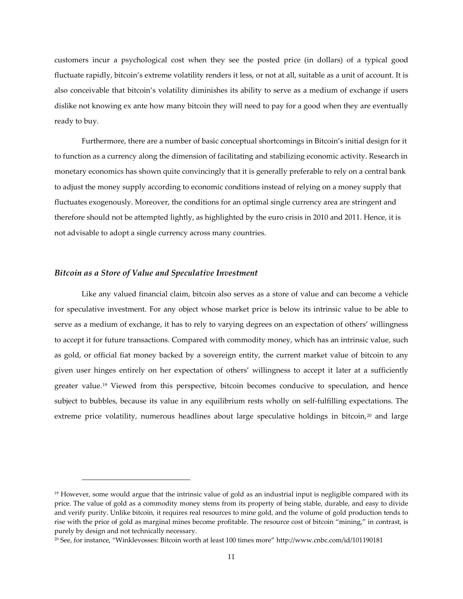customers incur a psychological cost when they see the posted price (in dollars) of a typical good fluctuate rapidly, bitcoin's extreme volatility renders it less, or not at all, suitable as a unit of account. It is also conceivable that bitcoin's volatility diminishes its ability to serve as a medium of exchange if users dislike not knowing ex ante how many bitcoin they will need to pay for a good when they are eventually ready to buy.

Furthermore, there are a number of basic conceptual shortcomings in Bitcoin's initial design for it to function as a currency along the dimension of facilitating and stabilizing economic activity. Research in monetary economics has shown quite convincingly that it is generally preferable to rely on a central bank to adjust the money supply according to economic conditions instead of relying on a money supply that fluctuates exogenously. Moreover, the conditions for an optimal single currency area are stringent and therefore should not be attempted lightly, as highlighted by the euro crisis in 2010 and 2011. Hence, it is not advisable to adopt a single currency across many countries.

#### *Bitcoin as a Store of Value and Speculative Investment*

 $\overline{a}$ 

Like any valued financial claim, bitcoin also serves as a store of value and can become a vehicle for speculative investment. For any object whose market price is below its intrinsic value to be able to serve as a medium of exchange, it has to rely to varying degrees on an expectation of others' willingness to accept it for future transactions. Compared with commodity money, which has an intrinsic value, such as gold, or official fiat money backed by a sovereign entity, the current market value of bitcoin to any given user hinges entirely on her expectation of others' willingness to accept it later at a sufficiently greater value.[19](#page-10-0) Viewed from this perspective, bitcoin becomes conducive to speculation, and hence subject to bubbles, because its value in any equilibrium rests wholly on self-fulfilling expectations. The extreme price volatility, numerous headlines about large speculative holdings in bitcoin, $20$  and large

<span id="page-10-0"></span><sup>&</sup>lt;sup>19</sup> However, some would argue that the intrinsic value of gold as an industrial input is negligible compared with its price. The value of gold as a commodity money stems from its property of being stable, durable, and easy to divide and verify purity. Unlike bitcoin, it requires real resources to mine gold, and the volume of gold production tends to rise with the price of gold as marginal mines become profitable. The resource cost of bitcoin "mining," in contrast, is purely by design and not technically necessary.

<span id="page-10-1"></span><sup>20</sup> See, for instance, "Winklevosses: Bitcoin worth at least 100 times more" http://www.cnbc.com/id/101190181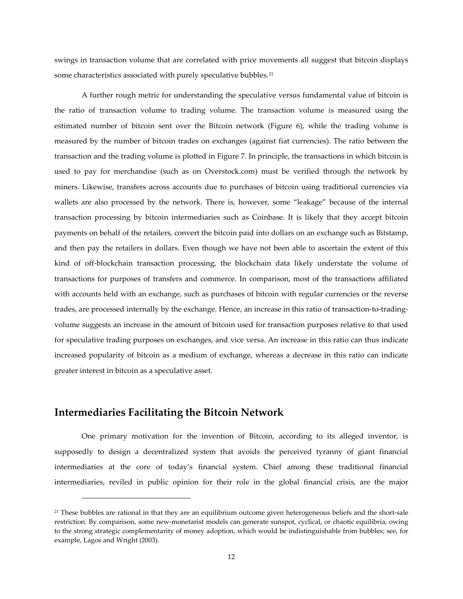swings in transaction volume that are correlated with price movements all suggest that bitcoin displays some characteristics associated with purely speculative bubbles.[21](#page-11-0)

A further rough metric for understanding the speculative versus fundamental value of bitcoin is the ratio of transaction volume to trading volume. The transaction volume is measured using the estimated number of bitcoin sent over the Bitcoin network (Figure 6), while the trading volume is measured by the number of bitcoin trades on exchanges (against fiat currencies). The ratio between the transaction and the trading volume is plotted in Figure 7. In principle, the transactions in which bitcoin is used to pay for merchandise (such as on Overstock.com) must be verified through the network by miners. Likewise, transfers across accounts due to purchases of bitcoin using traditional currencies via wallets are also processed by the network. There is, however, some "leakage" because of the internal transaction processing by bitcoin intermediaries such as Coinbase. It is likely that they accept bitcoin payments on behalf of the retailers, convert the bitcoin paid into dollars on an exchange such as Bitstamp, and then pay the retailers in dollars. Even though we have not been able to ascertain the extent of this kind of off-blockchain transaction processing, the blockchain data likely understate the volume of transactions for purposes of transfers and commerce. In comparison, most of the transactions affiliated with accounts held with an exchange, such as purchases of bitcoin with regular currencies or the reverse trades, are processed internally by the exchange. Hence, an increase in this ratio of transaction-to-tradingvolume suggests an increase in the amount of bitcoin used for transaction purposes relative to that used for speculative trading purposes on exchanges, and vice versa. An increase in this ratio can thus indicate increased popularity of bitcoin as a medium of exchange, whereas a decrease in this ratio can indicate greater interest in bitcoin as a speculative asset.

### **Intermediaries Facilitating the Bitcoin Network**

 $\overline{a}$ 

One primary motivation for the invention of Bitcoin, according to its alleged inventor, is supposedly to design a decentralized system that avoids the perceived tyranny of giant financial intermediaries at the core of today's financial system. Chief among these traditional financial intermediaries, reviled in public opinion for their role in the global financial crisis, are the major

<span id="page-11-0"></span><sup>&</sup>lt;sup>21</sup> These bubbles are rational in that they are an equilibrium outcome given heterogeneous beliefs and the short-sale restriction. By comparison, some new-monetarist models can generate sunspot, cyclical, or chaotic equilibria, owing to the strong strategic complementarity of money adoption, which would be indistinguishable from bubbles; see, for example, Lagos and Wright (2003).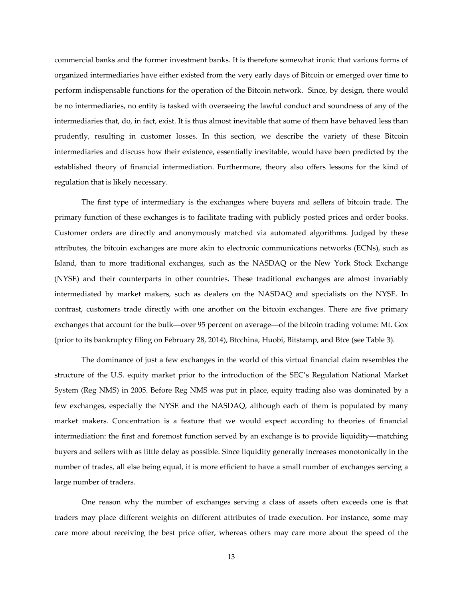commercial banks and the former investment banks. It is therefore somewhat ironic that various forms of organized intermediaries have either existed from the very early days of Bitcoin or emerged over time to perform indispensable functions for the operation of the Bitcoin network. Since, by design, there would be no intermediaries, no entity is tasked with overseeing the lawful conduct and soundness of any of the intermediaries that, do, in fact, exist. It is thus almost inevitable that some of them have behaved less than prudently, resulting in customer losses. In this section, we describe the variety of these Bitcoin intermediaries and discuss how their existence, essentially inevitable, would have been predicted by the established theory of financial intermediation. Furthermore, theory also offers lessons for the kind of regulation that is likely necessary.

The first type of intermediary is the exchanges where buyers and sellers of bitcoin trade. The primary function of these exchanges is to facilitate trading with publicly posted prices and order books. Customer orders are directly and anonymously matched via automated algorithms. Judged by these attributes, the bitcoin exchanges are more akin to electronic communications networks (ECNs), such as Island, than to more traditional exchanges, such as the NASDAQ or the New York Stock Exchange (NYSE) and their counterparts in other countries. These traditional exchanges are almost invariably intermediated by market makers, such as dealers on the NASDAQ and specialists on the NYSE. In contrast, customers trade directly with one another on the bitcoin exchanges. There are five primary exchanges that account for the bulk––over 95 percent on average––of the bitcoin trading volume: Mt. Gox (prior to its bankruptcy filing on February 28, 2014), Btcchina, Huobi, Bitstamp, and Btce (see Table 3).

The dominance of just a few exchanges in the world of this virtual financial claim resembles the structure of the U.S. equity market prior to the introduction of the SEC's Regulation National Market System (Reg NMS) in 2005. Before Reg NMS was put in place, equity trading also was dominated by a few exchanges, especially the NYSE and the NASDAQ, although each of them is populated by many market makers. Concentration is a feature that we would expect according to theories of financial intermediation: the first and foremost function served by an exchange is to provide liquidity––matching buyers and sellers with as little delay as possible. Since liquidity generally increases monotonically in the number of trades, all else being equal, it is more efficient to have a small number of exchanges serving a large number of traders.

One reason why the number of exchanges serving a class of assets often exceeds one is that traders may place different weights on different attributes of trade execution. For instance, some may care more about receiving the best price offer, whereas others may care more about the speed of the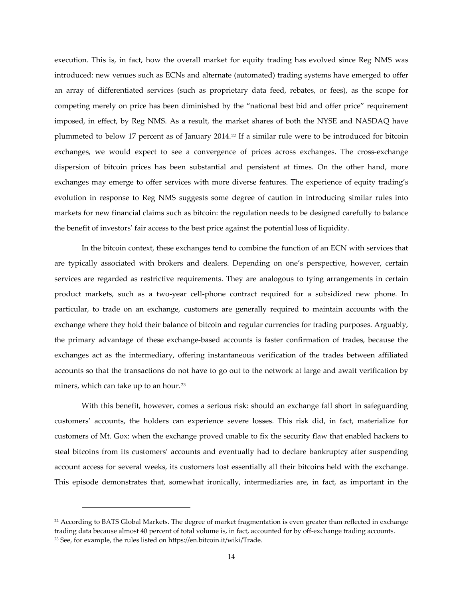execution. This is, in fact, how the overall market for equity trading has evolved since Reg NMS was introduced: new venues such as ECNs and alternate (automated) trading systems have emerged to offer an array of differentiated services (such as proprietary data feed, rebates, or fees), as the scope for competing merely on price has been diminished by the "national best bid and offer price" requirement imposed, in effect, by Reg NMS. As a result, the market shares of both the NYSE and NASDAQ have plummeted to below 17 percent as of January 2014.<sup>[22](#page-13-0)</sup> If a similar rule were to be introduced for bitcoin exchanges, we would expect to see a convergence of prices across exchanges. The cross-exchange dispersion of bitcoin prices has been substantial and persistent at times. On the other hand, more exchanges may emerge to offer services with more diverse features. The experience of equity trading's evolution in response to Reg NMS suggests some degree of caution in introducing similar rules into markets for new financial claims such as bitcoin: the regulation needs to be designed carefully to balance the benefit of investors' fair access to the best price against the potential loss of liquidity.

In the bitcoin context, these exchanges tend to combine the function of an ECN with services that are typically associated with brokers and dealers. Depending on one's perspective, however, certain services are regarded as restrictive requirements. They are analogous to tying arrangements in certain product markets, such as a two-year cell-phone contract required for a subsidized new phone. In particular, to trade on an exchange, customers are generally required to maintain accounts with the exchange where they hold their balance of bitcoin and regular currencies for trading purposes. Arguably, the primary advantage of these exchange-based accounts is faster confirmation of trades, because the exchanges act as the intermediary, offering instantaneous verification of the trades between affiliated accounts so that the transactions do not have to go out to the network at large and await verification by miners, which can take up to an hour.<sup>[23](#page-13-1)</sup>

With this benefit, however, comes a serious risk: should an exchange fall short in safeguarding customers' accounts, the holders can experience severe losses. This risk did, in fact, materialize for customers of Mt. Gox: when the exchange proved unable to fix the security flaw that enabled hackers to steal bitcoins from its customers' accounts and eventually had to declare bankruptcy after suspending account access for several weeks, its customers lost essentially all their bitcoins held with the exchange. This episode demonstrates that, somewhat ironically, intermediaries are, in fact, as important in the

<span id="page-13-1"></span><span id="page-13-0"></span><sup>&</sup>lt;sup>22</sup> According to BATS Global Markets. The degree of market fragmentation is even greater than reflected in exchange trading data because almost 40 percent of total volume is, in fact, accounted for by off-exchange trading accounts. <sup>23</sup> See, for example, the rules listed on https://en.bitcoin.it/wiki/Trade.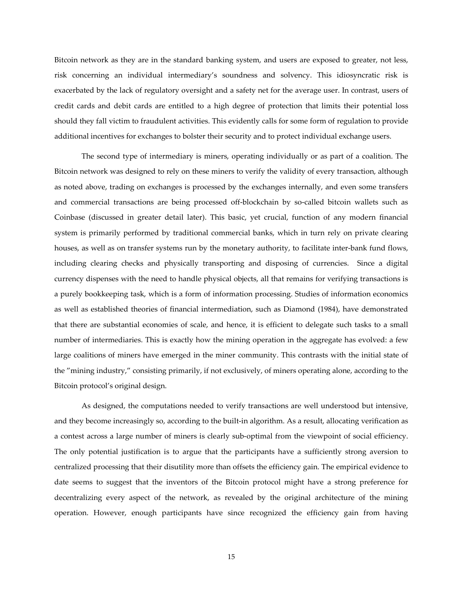Bitcoin network as they are in the standard banking system, and users are exposed to greater, not less, risk concerning an individual intermediary's soundness and solvency. This idiosyncratic risk is exacerbated by the lack of regulatory oversight and a safety net for the average user. In contrast, users of credit cards and debit cards are entitled to a high degree of protection that limits their potential loss should they fall victim to fraudulent activities. This evidently calls for some form of regulation to provide additional incentives for exchanges to bolster their security and to protect individual exchange users.

The second type of intermediary is miners, operating individually or as part of a coalition. The Bitcoin network was designed to rely on these miners to verify the validity of every transaction, although as noted above, trading on exchanges is processed by the exchanges internally, and even some transfers and commercial transactions are being processed off-blockchain by so-called bitcoin wallets such as Coinbase (discussed in greater detail later). This basic, yet crucial, function of any modern financial system is primarily performed by traditional commercial banks, which in turn rely on private clearing houses, as well as on transfer systems run by the monetary authority, to facilitate inter-bank fund flows, including clearing checks and physically transporting and disposing of currencies. Since a digital currency dispenses with the need to handle physical objects, all that remains for verifying transactions is a purely bookkeeping task, which is a form of information processing. Studies of information economics as well as established theories of financial intermediation, such as Diamond (1984), have demonstrated that there are substantial economies of scale, and hence, it is efficient to delegate such tasks to a small number of intermediaries. This is exactly how the mining operation in the aggregate has evolved: a few large coalitions of miners have emerged in the miner community. This contrasts with the initial state of the "mining industry," consisting primarily, if not exclusively, of miners operating alone, according to the Bitcoin protocol's original design.

As designed, the computations needed to verify transactions are well understood but intensive, and they become increasingly so, according to the built-in algorithm. As a result, allocating verification as a contest across a large number of miners is clearly sub-optimal from the viewpoint of social efficiency. The only potential justification is to argue that the participants have a sufficiently strong aversion to centralized processing that their disutility more than offsets the efficiency gain. The empirical evidence to date seems to suggest that the inventors of the Bitcoin protocol might have a strong preference for decentralizing every aspect of the network, as revealed by the original architecture of the mining operation. However, enough participants have since recognized the efficiency gain from having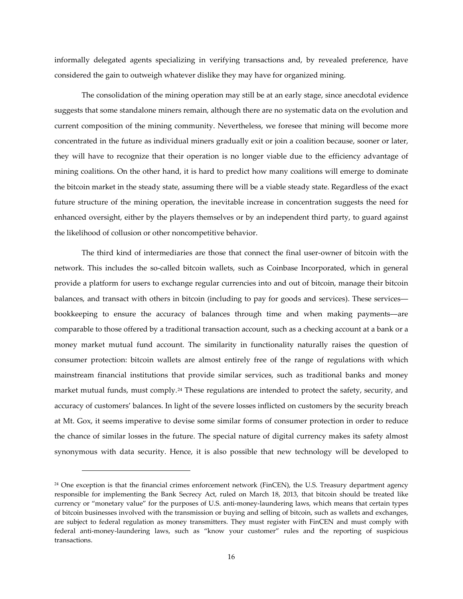informally delegated agents specializing in verifying transactions and, by revealed preference, have considered the gain to outweigh whatever dislike they may have for organized mining.

The consolidation of the mining operation may still be at an early stage, since anecdotal evidence suggests that some standalone miners remain, although there are no systematic data on the evolution and current composition of the mining community. Nevertheless, we foresee that mining will become more concentrated in the future as individual miners gradually exit or join a coalition because, sooner or later, they will have to recognize that their operation is no longer viable due to the efficiency advantage of mining coalitions. On the other hand, it is hard to predict how many coalitions will emerge to dominate the bitcoin market in the steady state, assuming there will be a viable steady state. Regardless of the exact future structure of the mining operation, the inevitable increase in concentration suggests the need for enhanced oversight, either by the players themselves or by an independent third party, to guard against the likelihood of collusion or other noncompetitive behavior.

The third kind of intermediaries are those that connect the final user-owner of bitcoin with the network. This includes the so-called bitcoin wallets, such as Coinbase Incorporated, which in general provide a platform for users to exchange regular currencies into and out of bitcoin, manage their bitcoin balances, and transact with others in bitcoin (including to pay for goods and services). These services–– bookkeeping to ensure the accuracy of balances through time and when making payments—are comparable to those offered by a traditional transaction account, such as a checking account at a bank or a money market mutual fund account. The similarity in functionality naturally raises the question of consumer protection: bitcoin wallets are almost entirely free of the range of regulations with which mainstream financial institutions that provide similar services, such as traditional banks and money market mutual funds, must comply.<sup>[24](#page-15-0)</sup> These regulations are intended to protect the safety, security, and accuracy of customers' balances. In light of the severe losses inflicted on customers by the security breach at Mt. Gox, it seems imperative to devise some similar forms of consumer protection in order to reduce the chance of similar losses in the future. The special nature of digital currency makes its safety almost synonymous with data security. Hence, it is also possible that new technology will be developed to

<span id="page-15-0"></span><sup>&</sup>lt;sup>24</sup> One exception is that the financial crimes enforcement network (FinCEN), the U.S. Treasury department agency responsible for implementing the Bank Secrecy Act, ruled on March 18, 2013, that bitcoin should be treated like currency or "monetary value" for the purposes of U.S. anti-money-laundering laws, which means that certain types of bitcoin businesses involved with the transmission or buying and selling of bitcoin, such as wallets and exchanges, are subject to federal regulation as money transmitters. They must register with FinCEN and must comply with federal anti-money-laundering laws, such as "know your customer" rules and the reporting of suspicious transactions.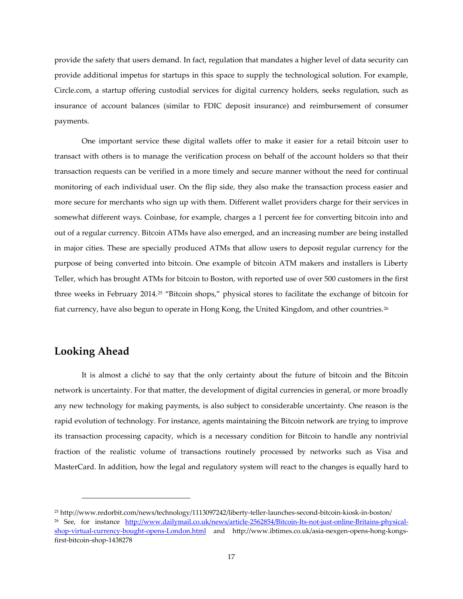provide the safety that users demand. In fact, regulation that mandates a higher level of data security can provide additional impetus for startups in this space to supply the technological solution. For example, Circle.com, a startup offering custodial services for digital currency holders, seeks regulation, such as insurance of account balances (similar to FDIC deposit insurance) and reimbursement of consumer payments.

One important service these digital wallets offer to make it easier for a retail bitcoin user to transact with others is to manage the verification process on behalf of the account holders so that their transaction requests can be verified in a more timely and secure manner without the need for continual monitoring of each individual user. On the flip side, they also make the transaction process easier and more secure for merchants who sign up with them. Different wallet providers charge for their services in somewhat different ways. Coinbase, for example, charges a 1 percent fee for converting bitcoin into and out of a regular currency. Bitcoin ATMs have also emerged, and an increasing number are being installed in major cities. These are specially produced ATMs that allow users to deposit regular currency for the purpose of being converted into bitcoin. One example of bitcoin ATM makers and installers is Liberty Teller, which has brought ATMs for bitcoin to Boston, with reported use of over 500 customers in the first three weeks in February 2014.[25](#page-16-0) "Bitcoin shops," physical stores to facilitate the exchange of bitcoin for fiat currency, have also begun to operate in Hong Kong, the United Kingdom, and other countries.<sup>[26](#page-16-1)</sup>

### **Looking Ahead**

 $\overline{a}$ 

It is almost a cliché to say that the only certainty about the future of bitcoin and the Bitcoin network is uncertainty. For that matter, the development of digital currencies in general, or more broadly any new technology for making payments, is also subject to considerable uncertainty. One reason is the rapid evolution of technology. For instance, agents maintaining the Bitcoin network are trying to improve its transaction processing capacity, which is a necessary condition for Bitcoin to handle any nontrivial fraction of the realistic volume of transactions routinely processed by networks such as Visa and MasterCard. In addition, how the legal and regulatory system will react to the changes is equally hard to

<span id="page-16-1"></span><span id="page-16-0"></span><sup>25</sup> http://www.redorbit.com/news/technology/1113097242/liberty-teller-launches-second-bitcoin-kiosk-in-boston/ <sup>26</sup> See, for instance [http://www.dailymail.co.uk/news/article-2562854/Bitcoin-Its-not-just-online-Britains-physical](http://www.dailymail.co.uk/news/article-2562854/Bitcoin-Its-not-just-online-Britains-physical-shop-virtual-currency-bought-opens-London.html)[shop-virtual-currency-bought-opens-London.html](http://www.dailymail.co.uk/news/article-2562854/Bitcoin-Its-not-just-online-Britains-physical-shop-virtual-currency-bought-opens-London.html) and http://www.ibtimes.co.uk/asia-nexgen-opens-hong-kongsfirst-bitcoin-shop-1438278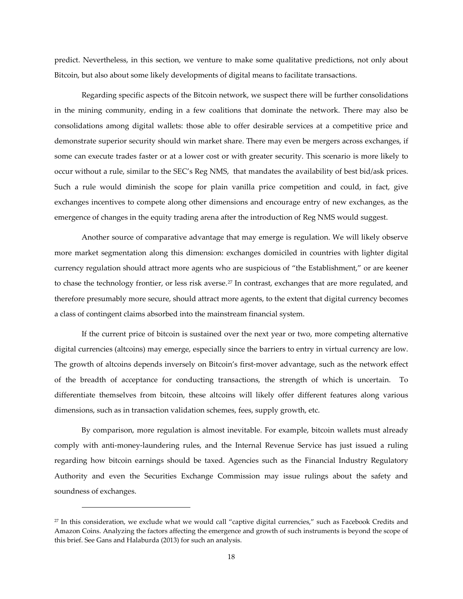predict. Nevertheless, in this section, we venture to make some qualitative predictions, not only about Bitcoin, but also about some likely developments of digital means to facilitate transactions.

Regarding specific aspects of the Bitcoin network, we suspect there will be further consolidations in the mining community, ending in a few coalitions that dominate the network. There may also be consolidations among digital wallets: those able to offer desirable services at a competitive price and demonstrate superior security should win market share. There may even be mergers across exchanges, if some can execute trades faster or at a lower cost or with greater security. This scenario is more likely to occur without a rule, similar to the SEC's Reg NMS, that mandates the availability of best bid/ask prices. Such a rule would diminish the scope for plain vanilla price competition and could, in fact, give exchanges incentives to compete along other dimensions and encourage entry of new exchanges, as the emergence of changes in the equity trading arena after the introduction of Reg NMS would suggest.

Another source of comparative advantage that may emerge is regulation. We will likely observe more market segmentation along this dimension: exchanges domiciled in countries with lighter digital currency regulation should attract more agents who are suspicious of "the Establishment," or are keener to chase the technology frontier, or less risk averse.[27](#page-17-0) In contrast, exchanges that are more regulated, and therefore presumably more secure, should attract more agents, to the extent that digital currency becomes a class of contingent claims absorbed into the mainstream financial system.

If the current price of bitcoin is sustained over the next year or two, more competing alternative digital currencies (altcoins) may emerge, especially since the barriers to entry in virtual currency are low. The growth of altcoins depends inversely on Bitcoin's first-mover advantage, such as the network effect of the breadth of acceptance for conducting transactions, the strength of which is uncertain. To differentiate themselves from bitcoin, these altcoins will likely offer different features along various dimensions, such as in transaction validation schemes, fees, supply growth, etc.

By comparison, more regulation is almost inevitable. For example, bitcoin wallets must already comply with anti-money-laundering rules, and the Internal Revenue Service has just issued a ruling regarding how bitcoin earnings should be taxed. Agencies such as the Financial Industry Regulatory Authority and even the Securities Exchange Commission may issue rulings about the safety and soundness of exchanges.

<span id="page-17-0"></span> $27$  In this consideration, we exclude what we would call "captive digital currencies," such as Facebook Credits and Amazon Coins. Analyzing the factors affecting the emergence and growth of such instruments is beyond the scope of this brief. See Gans and Halaburda (2013) for such an analysis.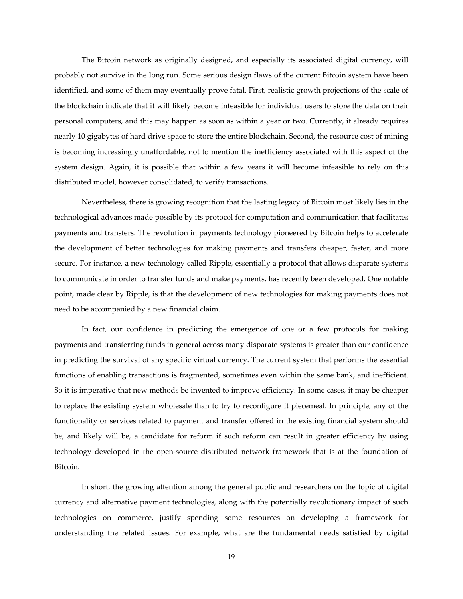The Bitcoin network as originally designed, and especially its associated digital currency, will probably not survive in the long run. Some serious design flaws of the current Bitcoin system have been identified, and some of them may eventually prove fatal. First, realistic growth projections of the scale of the blockchain indicate that it will likely become infeasible for individual users to store the data on their personal computers, and this may happen as soon as within a year or two. Currently, it already requires nearly 10 gigabytes of hard drive space to store the entire blockchain. Second, the resource cost of mining is becoming increasingly unaffordable, not to mention the inefficiency associated with this aspect of the system design. Again, it is possible that within a few years it will become infeasible to rely on this distributed model, however consolidated, to verify transactions.

Nevertheless, there is growing recognition that the lasting legacy of Bitcoin most likely lies in the technological advances made possible by its protocol for computation and communication that facilitates payments and transfers. The revolution in payments technology pioneered by Bitcoin helps to accelerate the development of better technologies for making payments and transfers cheaper, faster, and more secure. For instance, a new technology called Ripple, essentially a protocol that allows disparate systems to communicate in order to transfer funds and make payments, has recently been developed. One notable point, made clear by Ripple, is that the development of new technologies for making payments does not need to be accompanied by a new financial claim.

In fact, our confidence in predicting the emergence of one or a few protocols for making payments and transferring funds in general across many disparate systems is greater than our confidence in predicting the survival of any specific virtual currency. The current system that performs the essential functions of enabling transactions is fragmented, sometimes even within the same bank, and inefficient. So it is imperative that new methods be invented to improve efficiency. In some cases, it may be cheaper to replace the existing system wholesale than to try to reconfigure it piecemeal. In principle, any of the functionality or services related to payment and transfer offered in the existing financial system should be, and likely will be, a candidate for reform if such reform can result in greater efficiency by using technology developed in the open-source distributed network framework that is at the foundation of Bitcoin.

In short, the growing attention among the general public and researchers on the topic of digital currency and alternative payment technologies, along with the potentially revolutionary impact of such technologies on commerce, justify spending some resources on developing a framework for understanding the related issues. For example, what are the fundamental needs satisfied by digital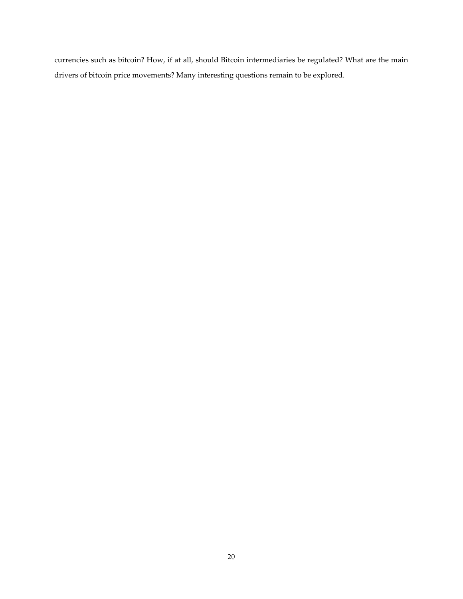currencies such as bitcoin? How, if at all, should Bitcoin intermediaries be regulated? What are the main drivers of bitcoin price movements? Many interesting questions remain to be explored.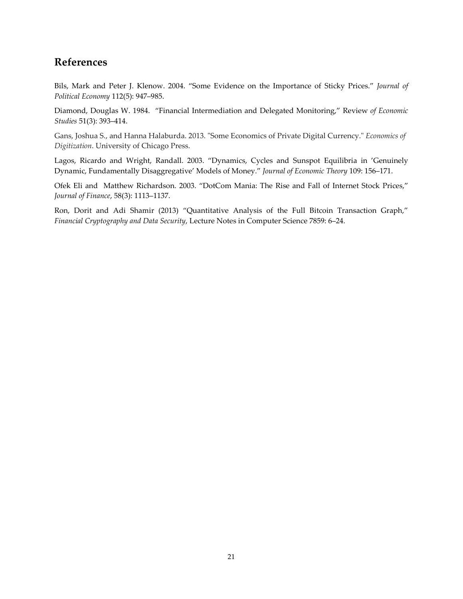## **References**

Bils, Mark and Peter J. Klenow. 2004. "Some Evidence on the Importance of Sticky Prices." *Journal of Political Economy* 112(5): 947–985.

Diamond, Douglas W. 1984. "Financial Intermediation and Delegated Monitoring," Review *of Economic Studies* 51(3): 393–414.

Gans, Joshua S., and Hanna Halaburda. 2013. "Some Economics of Private Digital Currency." *Economics of Digitization*. University of Chicago Press.

Lagos, Ricardo and Wright, Randall. 2003. "Dynamics, Cycles and Sunspot Equilibria in 'Genuinely Dynamic, Fundamentally Disaggregative' Models of Money." *Journal of Economic Theory* 109: 156–171.

Ofek Eli and Matthew Richardson. 2003. "DotCom Mania: The Rise and Fall of Internet Stock Prices," *Journal of Finance*, 58(3): 1113–1137.

Ron, Dorit and Adi Shamir (2013) "Quantitative Analysis of the Full Bitcoin Transaction Graph," *Financial Cryptography and Data Security*, Lecture Notes in Computer Science 7859: 6–24.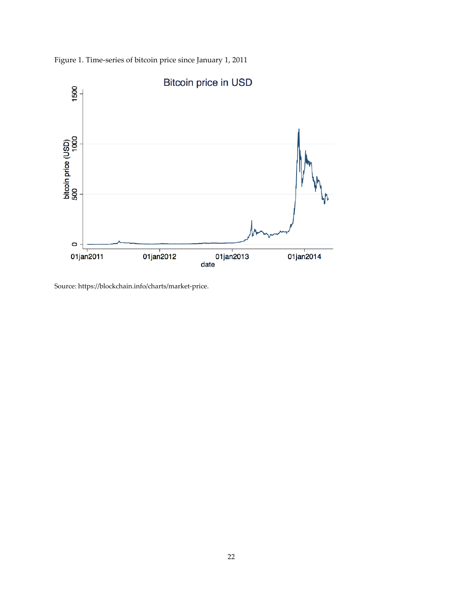Figure 1. Time-series of bitcoin price since January 1, 2011



Source: https://blockchain.info/charts/market-price.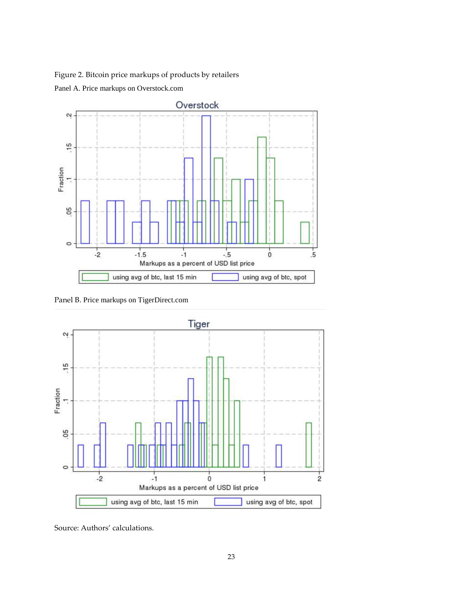Figure 2. Bitcoin price markups of products by retailers

Panel A. Price markups on Overstock.com



Panel B. Price markups on TigerDirect.com



Source: Authors' calculations.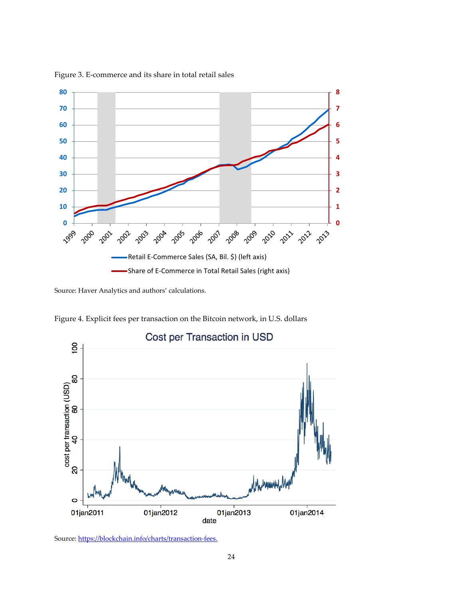

Figure 3. E-commerce and its share in total retail sales

Source: Haver Analytics and authors' calculations.



Figure 4. Explicit fees per transaction on the Bitcoin network, in U.S. dollars

Source[: https://blockchain.info/charts/transaction-fees.](https://blockchain.info/charts/transaction-fees)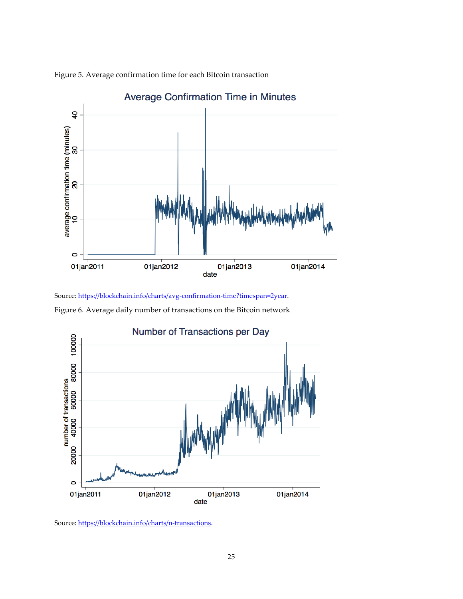

Figure 5. Average confirmation time for each Bitcoin transaction

Source[: https://blockchain.info/charts/avg-confirmation-time?timespan=2year.](https://blockchain.info/charts/avg-confirmation-time?timespan=2year) Figure 6. Average daily number of transactions on the Bitcoin network



Source[: https://blockchain.info/charts/n-transactions.](https://blockchain.info/charts/n-transactions)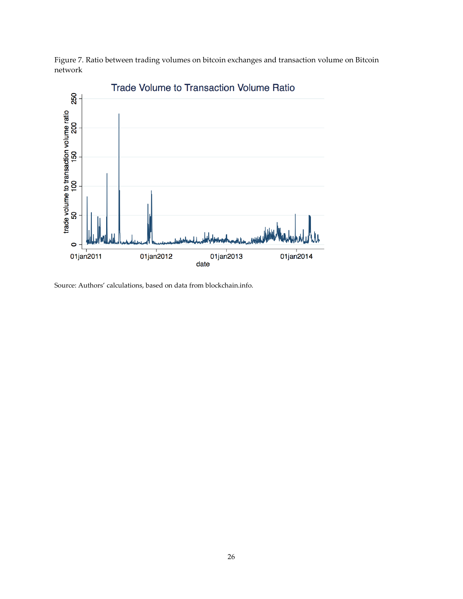Figure 7. Ratio between trading volumes on bitcoin exchanges and transaction volume on Bitcoin network



Source: Authors' calculations, based on data from blockchain.info.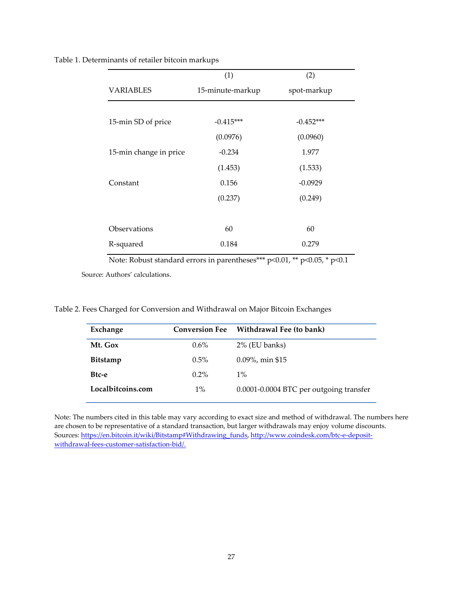|                        | (1)              | (2)         |
|------------------------|------------------|-------------|
| <b>VARIABLES</b>       | 15-minute-markup | spot-markup |
|                        |                  |             |
| 15-min SD of price     | $-0.415***$      | $-0.452***$ |
|                        | (0.0976)         | (0.0960)    |
| 15-min change in price | $-0.234$         | 1.977       |
|                        | (1.453)          | (1.533)     |
| Constant               | 0.156            | $-0.0929$   |
|                        | (0.237)          | (0.249)     |
|                        |                  |             |
| Observations           | 60               | 60          |
| R-squared              | 0.184            | 0.279       |

Table 1. Determinants of retailer bitcoin markups

Note: Robust standard errors in parentheses\*\*\* p<0.01, \*\* p<0.05, \* p<0.1

Source: Authors' calculations.

Table 2. Fees Charged for Conversion and Withdrawal on Major Bitcoin Exchanges

| Exchange          | <b>Conversion Fee</b> | Withdrawal Fee (to bank)                |
|-------------------|-----------------------|-----------------------------------------|
| Mt. Gox           | $0.6\%$               | $2\%$ (EU banks)                        |
| Bitstamp          | $0.5\%$               | $0.09\%$ , min \$15                     |
| Btc-e             | $0.2\%$               | $1\%$                                   |
| Localbitcoins.com | $1\%$                 | 0.0001-0.0004 BTC per outgoing transfer |

Note: The numbers cited in this table may vary according to exact size and method of withdrawal. The numbers here are chosen to be representative of a standard transaction, but larger withdrawals may enjoy volume discounts. Sources: [https://en.bitcoin.it/wiki/Bitstamp#Withdrawing\\_funds,](https://en.bitcoin.it/wiki/Bitstamp%23Withdrawing_funds) [http://www.coindesk.com/btc-e-deposit](http://www.coindesk.com/btc-e-deposit-withdrawal-fees-customer-satisfaction-bid/)[withdrawal-fees-customer-satisfaction-bid/.](http://www.coindesk.com/btc-e-deposit-withdrawal-fees-customer-satisfaction-bid/)